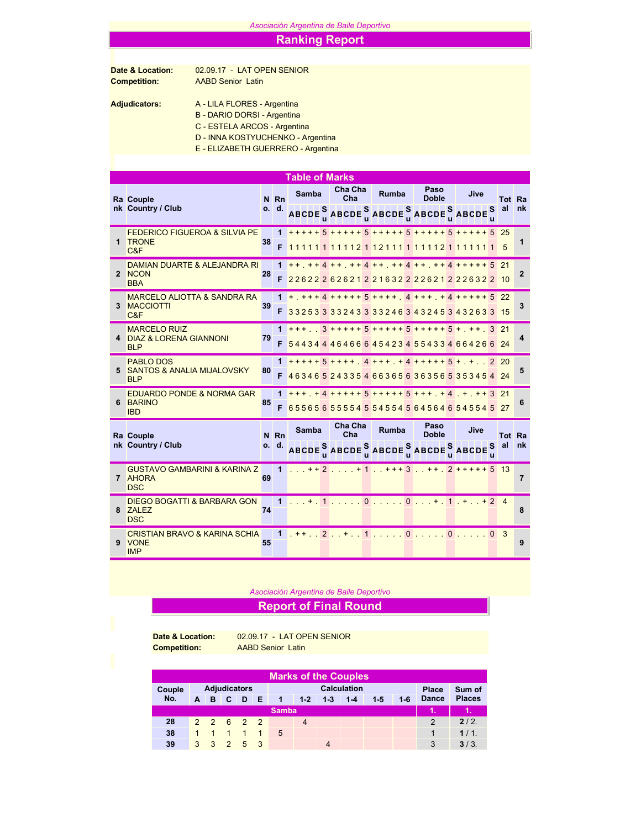#### *Asociación Argentina de Baile Deportivo*

### Ranking Report

# Date & Location: 02.09.17 - LAT OPEN SENIOR<br>
Competition: AABD Senior Latin

AABD Senior Latin

## Adjudicators: A - LILA FLORES - Argentina

B - DARIO DORSI - Argentina

C - ESTELA ARCOS - Argentina

D - INNA KOSTYUCHENKO - Argentina

E - ELIZABETH GUERRERO - Argentina

|                                                                  |    |              | <b>Table of Marks</b> |  |                       |  |                                                                                                                                             |  |                      |  |      |          |        |                |
|------------------------------------------------------------------|----|--------------|-----------------------|--|-----------------------|--|---------------------------------------------------------------------------------------------------------------------------------------------|--|----------------------|--|------|----------|--------|----------------|
| Ra Couple                                                        |    | N Rn         | <b>Samba</b>          |  | Cha Cha<br>Cha        |  | <b>Rumba</b>                                                                                                                                |  | Paso<br><b>Doble</b> |  | Jive |          | Tot Ra |                |
| nk Country / Club                                                |    | o. d.        |                       |  |                       |  | ABCDE SABCDE SABCDE SABCDE SABCDE                                                                                                           |  |                      |  |      |          | S al   | nk             |
| <b>FEDERICO FIGUEROA &amp; SILVIA PE</b><br>1 TRONE              | 38 |              |                       |  |                       |  | $1 + + + + + 5 + + + + + 5 + + + + + + 5 + + + + + + 5$ 25                                                                                  |  |                      |  |      |          |        | 1              |
| C&F                                                              |    | F            |                       |  |                       |  | 111111111121121111111121111111                                                                                                              |  |                      |  |      |          | -5     |                |
| DAMIAN DUARTE & ALEJANDRA RI                                     |    |              |                       |  |                       |  | 1 ++ ++4 ++ ++4 ++ ++4 ++ ++4 ++++++5 21                                                                                                    |  |                      |  |      |          |        |                |
| 2 NCON<br><b>BBA</b>                                             | 28 | F            |                       |  |                       |  | 22622262621221632222621222632210                                                                                                            |  |                      |  |      |          |        | 2              |
| <b>MARCELO ALIOTTA &amp; SANDRA RA</b>                           |    | 1.           |                       |  |                       |  |                                                                                                                                             |  |                      |  |      |          |        |                |
| 3 MACCIOTTI<br>C&F                                               | 39 | F            |                       |  |                       |  | 33253333243333246343245343263315                                                                                                            |  |                      |  |      |          |        | 3              |
| <b>MARCELO RUIZ</b><br>4 DIAZ & LORENA GIANNONI                  |    |              |                       |  |                       |  | $1 + + +$ $3 + + + + + + 5 + + + + + + 5 + + + +$ 3 21                                                                                      |  |                      |  |      |          |        |                |
| <b>BLP</b>                                                       | 79 | F.           |                       |  |                       |  | 54434446466645423455433466426624                                                                                                            |  |                      |  |      |          |        | 4              |
| <b>PABLO DOS</b><br>5 SANTOS & ANALIA MIJALOVSKY                 | 80 |              |                       |  |                       |  | $1$ +++++ 5 ++++ 4 +++ + 4 +++++ 5 + + . 2 20                                                                                               |  |                      |  |      |          |        | 5              |
| <b>BLP</b>                                                       |    | F            |                       |  |                       |  | 46346524335466365636356535345424                                                                                                            |  |                      |  |      |          |        |                |
| <b>EDUARDO PONDE &amp; NORMA GAR</b>                             |    |              |                       |  |                       |  | $1 + + + + + 4 + + + + + 5 + + + + + 5 + + + + + 4 + + + + + 3$ 21                                                                          |  |                      |  |      |          |        |                |
| 6 BARINO<br><b>IBD</b>                                           | 85 | F.           |                       |  |                       |  | 65565655554554554564564654554527                                                                                                            |  |                      |  |      |          |        | 6              |
| Ra Couple                                                        |    | N Rn         | Samba                 |  | Cha Cha<br>Cha        |  | <b>Rumba</b>                                                                                                                                |  | Paso<br><b>Doble</b> |  | Jive |          | Tot Ra |                |
| nk Country / Club                                                |    | o. d.        |                       |  |                       |  | ABCDE $_{\textrm{u}}^{\textrm{S}}$ ABCDE $_{\textrm{u}}^{\textrm{S}}$ ABCDE $_{\textrm{u}}^{\textrm{S}}$ ABCDE $_{\textrm{u}}^{\textrm{S}}$ |  |                      |  |      |          | al     | nk             |
| <b>GUSTAVO GAMBARINI &amp; KARINA Z</b><br>7 AHORA<br><b>DSC</b> | 69 | $\mathbf{1}$ |                       |  |                       |  | $\ldots$ ++2, $\ldots$ +1, $+$ ++3, $+$ + $2$ +++++ 5 13                                                                                    |  |                      |  |      |          |        | $\overline{7}$ |
| <b>DIEGO BOGATTI &amp; BARBARA GON</b><br>8 ZALEZ<br><b>DSC</b>  | 74 | $\mathbf{1}$ | $+$                   |  |                       |  | $1$ 00+.1.++24                                                                                                                              |  |                      |  |      |          |        | 8              |
| <b>CRISTIAN BRAVO &amp; KARINA SCHIA</b><br>9 VONE<br><b>IMP</b> | 55 | $\mathbf{1}$ |                       |  | $1 + 1$ , 2, $+$ , 1, |  |                                                                                                                                             |  | 0.11101              |  |      | $\Omega$ | -3     | 9              |

#### *Asociación Argentina de Baile Deportivo*

## Report of Final Round

Date & Location: 02.09.17 - LAT OPEN SENIOR Competition: AABD Senior Latin

| <b>Marks of the Couples</b> |   |   |            |                     |              |                |       |         |         |       |       |               |               |
|-----------------------------|---|---|------------|---------------------|--------------|----------------|-------|---------|---------|-------|-------|---------------|---------------|
| Couple                      |   |   |            | <b>Adjudicators</b> |              |                |       | Place   | Sum of  |       |       |               |               |
| No.                         | A | B | A C        | $\blacksquare$      | IE.          | $\overline{1}$ | $1-2$ | $1 - 3$ | $1 - 4$ | $1-5$ | $1-6$ | <b>Dance</b>  | <b>Places</b> |
|                             |   |   |            |                     |              | <b>Samba</b>   |       |         |         |       |       | ۹N            |               |
| 28                          |   |   |            | 2 2 6 2 2           |              |                | 4     |         |         |       |       | $\mathcal{P}$ | $2/2$ .       |
| 38                          |   |   | $\sqrt{1}$ | $\overline{1}$      | $\mathbf{1}$ | 5              |       |         |         |       |       |               | 1/1.          |
| 39                          | 3 | 3 |            | $2 \t 5 \t 3$       |              |                |       |         |         |       |       | 3             | 3/3.          |